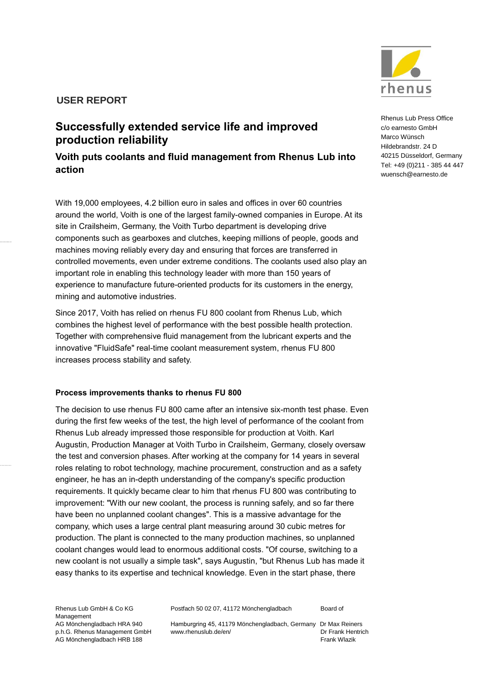## **USER REPORT**

# **Successfully extended service life and improved production reliability**

**Voith puts coolants and fluid management from Rhenus Lub into action**

With 19,000 employees, 4.2 billion euro in sales and offices in over 60 countries around the world, Voith is one of the largest family-owned companies in Europe. At its site in Crailsheim, Germany, the Voith Turbo department is developing drive components such as gearboxes and clutches, keeping millions of people, goods and machines moving reliably every day and ensuring that forces are transferred in controlled movements, even under extreme conditions. The coolants used also play an important role in enabling this technology leader with more than 150 years of experience to manufacture future-oriented products for its customers in the energy, mining and automotive industries.

Since 2017, Voith has relied on rhenus FU 800 coolant from Rhenus Lub, which combines the highest level of performance with the best possible health protection. Together with comprehensive fluid management from the lubricant experts and the innovative "FluidSafe" real-time coolant measurement system, rhenus FU 800 increases process stability and safety.

#### **Process improvements thanks to rhenus FU 800**

The decision to use rhenus FU 800 came after an intensive six-month test phase. Even during the first few weeks of the test, the high level of performance of the coolant from Rhenus Lub already impressed those responsible for production at Voith. Karl Augustin, Production Manager at Voith Turbo in Crailsheim, Germany, closely oversaw the test and conversion phases. After working at the company for 14 years in several roles relating to robot technology, machine procurement, construction and as a safety engineer, he has an in-depth understanding of the company's specific production requirements. It quickly became clear to him that rhenus FU 800 was contributing to improvement: "With our new coolant, the process is running safely, and so far there have been no unplanned coolant changes". This is a massive advantage for the company, which uses a large central plant measuring around 30 cubic metres for production. The plant is connected to the many production machines, so unplanned coolant changes would lead to enormous additional costs. "Of course, switching to a new coolant is not usually a simple task", says Augustin, "but Rhenus Lub has made it easy thanks to its expertise and technical knowledge. Even in the start phase, there

Management AG Mönchengladbach HRB 188 Frank Wlazik Channel Mars and the State of Transaction of Transaction of Transaction of Transaction of Transaction of Transaction of Transaction of Transaction of Transaction of Transaction of Tr

Rhenus Lub GmbH & Co KG Postfach 50 02 07, 41172 Mönchengladbach Board of

AG Mönchengladbach HRA 940 Hamburgring 45, 41179 Mönchengladbach, Germany Dr Max Reiners p.h.G. Rhenus Management GmbH www.rhenuslub.de/en/ Dr Frank Hentrich



Rhenus Lub Press Office c/o earnesto GmbH Marco Wünsch Hildebrandstr. 24 D 40215 Düsseldorf, Germany Tel: +49 (0)211 - 385 44 447 wuensch@earnesto.de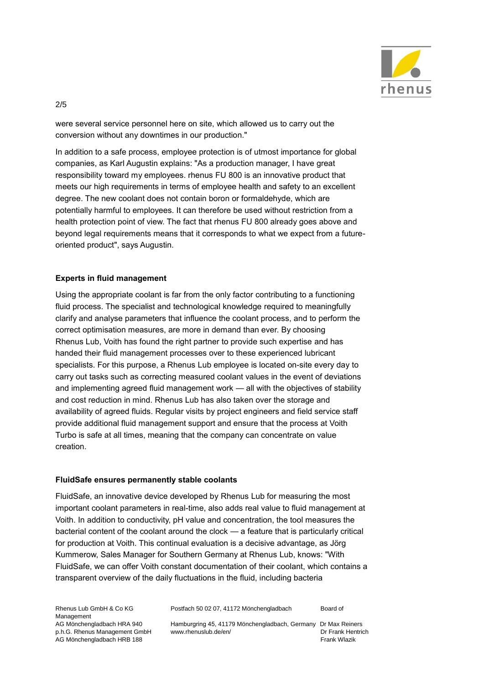

were several service personnel here on site, which allowed us to carry out the conversion without any downtimes in our production."

In addition to a safe process, employee protection is of utmost importance for global companies, as Karl Augustin explains: "As a production manager, I have great responsibility toward my employees. rhenus FU 800 is an innovative product that meets our high requirements in terms of employee health and safety to an excellent degree. The new coolant does not contain boron or formaldehyde, which are potentially harmful to employees. It can therefore be used without restriction from a health protection point of view. The fact that rhenus FU 800 already goes above and beyond legal requirements means that it corresponds to what we expect from a futureoriented product", says Augustin.

#### **Experts in fluid management**

2/5

Using the appropriate coolant is far from the only factor contributing to a functioning fluid process. The specialist and technological knowledge required to meaningfully clarify and analyse parameters that influence the coolant process, and to perform the correct optimisation measures, are more in demand than ever. By choosing Rhenus Lub, Voith has found the right partner to provide such expertise and has handed their fluid management processes over to these experienced lubricant specialists. For this purpose, a Rhenus Lub employee is located on-site every day to carry out tasks such as correcting measured coolant values in the event of deviations and implementing agreed fluid management work — all with the objectives of stability and cost reduction in mind. Rhenus Lub has also taken over the storage and availability of agreed fluids. Regular visits by project engineers and field service staff provide additional fluid management support and ensure that the process at Voith Turbo is safe at all times, meaning that the company can concentrate on value creation.

#### **FluidSafe ensures permanently stable coolants**

FluidSafe, an innovative device developed by Rhenus Lub for measuring the most important coolant parameters in real-time, also adds real value to fluid management at Voith. In addition to conductivity, pH value and concentration, the tool measures the bacterial content of the coolant around the clock — a feature that is particularly critical for production at Voith. This continual evaluation is a decisive advantage, as Jörg Kummerow, Sales Manager for Southern Germany at Rhenus Lub, knows: "With FluidSafe, we can offer Voith constant documentation of their coolant, which contains a transparent overview of the daily fluctuations in the fluid, including bacteria

Rhenus Lub GmbH & Co KG Management AG Mönchengladbach HRA 940 p.h.G. Rhenus Management GmbH AG Mönchengladbach HRB 188 Frank Wlazik Channel Mars and the State of Transaction of Transaction of Transaction of Transaction of Transaction of Transaction of Transaction of Transaction of Transaction of Transaction of Tr

Postfach 50 02 07, 41172 Mönchengladbach Board of

Hamburgring 45, 41179 Mönchengladbach, Germany Dr Max Reiners www.rhenuslub.de/en/ Dr Frank Hentrich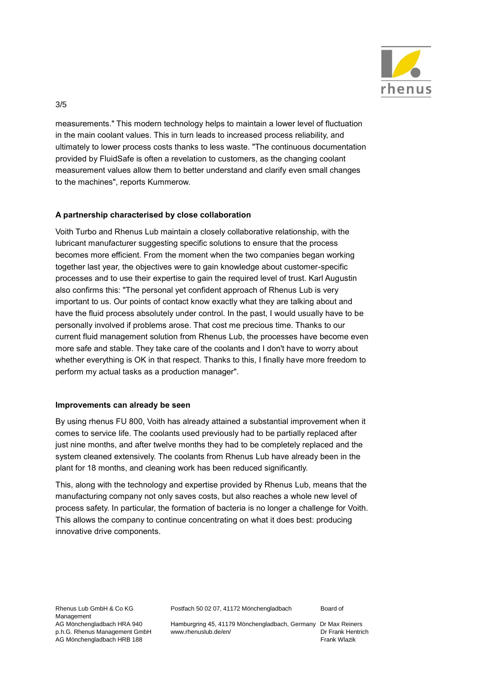

measurements." This modern technology helps to maintain a lower level of fluctuation in the main coolant values. This in turn leads to increased process reliability, and ultimately to lower process costs thanks to less waste. "The continuous documentation provided by FluidSafe is often a revelation to customers, as the changing coolant measurement values allow them to better understand and clarify even small changes to the machines", reports Kummerow.

## **A partnership characterised by close collaboration**

3/5

Voith Turbo and Rhenus Lub maintain a closely collaborative relationship, with the lubricant manufacturer suggesting specific solutions to ensure that the process becomes more efficient. From the moment when the two companies began working together last year, the objectives were to gain knowledge about customer-specific processes and to use their expertise to gain the required level of trust. Karl Augustin also confirms this: "The personal yet confident approach of Rhenus Lub is very important to us. Our points of contact know exactly what they are talking about and have the fluid process absolutely under control. In the past, I would usually have to be personally involved if problems arose. That cost me precious time. Thanks to our current fluid management solution from Rhenus Lub, the processes have become even more safe and stable. They take care of the coolants and I don't have to worry about whether everything is OK in that respect. Thanks to this, I finally have more freedom to perform my actual tasks as a production manager".

#### **Improvements can already be seen**

By using rhenus FU 800, Voith has already attained a substantial improvement when it comes to service life. The coolants used previously had to be partially replaced after just nine months, and after twelve months they had to be completely replaced and the system cleaned extensively. The coolants from Rhenus Lub have already been in the plant for 18 months, and cleaning work has been reduced significantly.

This, along with the technology and expertise provided by Rhenus Lub, means that the manufacturing company not only saves costs, but also reaches a whole new level of process safety. In particular, the formation of bacteria is no longer a challenge for Voith. This allows the company to continue concentrating on what it does best: producing innovative drive components.

Postfach 50 02 07, 41172 Mönchengladbach Board of

Hamburgring 45, 41179 Mönchengladbach, Germany Dr Max Reiners www.rhenuslub.de/en/ Dr Frank Hentrich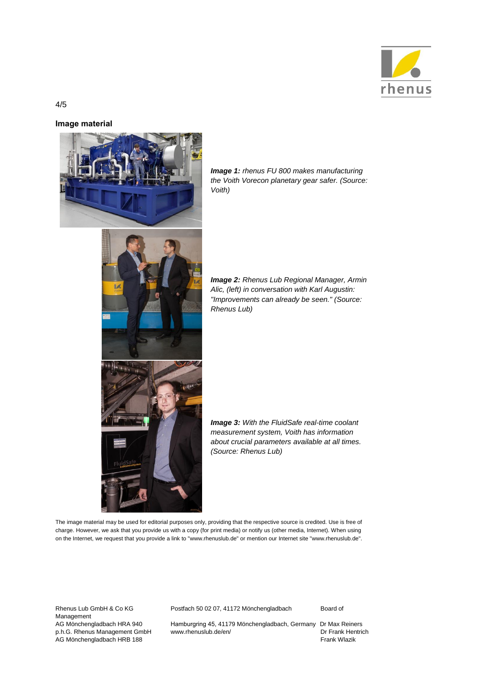

#### **Image material**



*Image 1: rhenus FU 800 makes manufacturing the Voith Vorecon planetary gear safer. (Source: Voith)*

*Image 2: Rhenus Lub Regional Manager, Armin Alic, (left) in conversation with Karl Augustin: "Improvements can already be seen." (Source: Rhenus Lub)*

*Image 3: With the FluidSafe real-time coolant measurement system, Voith has information about crucial parameters available at all times. (Source: Rhenus Lub)*

The image material may be used for editorial purposes only, providing that the respective source is credited. Use is free of charge. However, we ask that you provide us with a copy (for print media) or notify us (other media, Internet). When using on the Internet, we request that you provide a link to "www.rhenuslub.de" or mention our Internet site "www.rhenuslub.de".

Rhenus Lub GmbH & Co KG Management AG Mönchengladbach HRA 940 p.h.G. Rhenus Management GmbH AG Mönchengladbach HRB 188

Postfach 50 02 07, 41172 Mönchengladbach Board of

Hamburgring 45, 41179 Mönchengladbach, Germany Dr Max Reiners www.rhenuslub.de/en/ Dr Frank Hentrich University of the University of the Dr Frank Wlazik

4/5